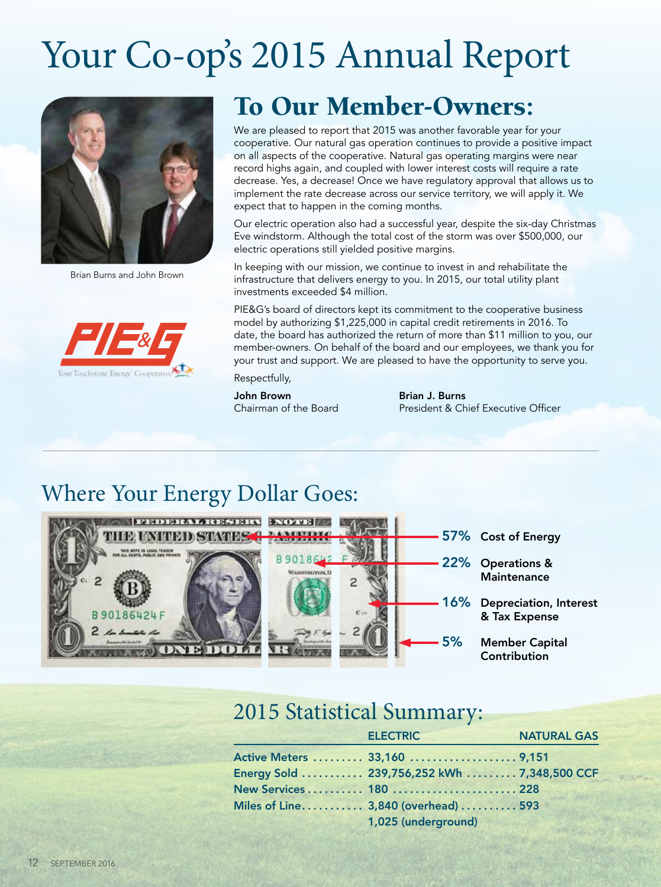# Your Co-op's 2015 Annual Report



Brian Burns and John Brown



# To Our Member-Owners:

We are pleased to report that 2015 was another favorable year for your cooperative. Our natural gas operation continues to provide a positive impact on all aspects of the cooperative. Natural gas operating margins were near record highs again, and coupled with lower interest costs will require a rate decrease. Yes, a decrease! Once we have regulatory approval that allows us to implement the rate decrease across our service territory, we will apply it. We expect that to happen in the coming months.

Our electric operation also had a successful year, despite the six-day Christmas Eve windstorm. Although the total cost of the storm was over \$500,000, our electric operations still yielded positive margins.

In keeping with our mission, we continue to invest in and rehabilitate the infrastructure that delivers energy to you. In 2015, our total utility plant investments exceeded \$4 million.

PIE&G's board of directors kept its commitment to the cooperative business model by authorizing \$1,225,000 in capital credit retirements in 2016. To date, the board has authorized the return of more than \$11 million to you, our member-owners. On behalf of the board and our employees, we thank you for your trust and support. We are pleased to have the opportunity to serve you.

Respectfully,

John Brown

Brian J. Burns Chairman of the Board President & Chief Executive Officer

## Where Your Energy Dollar Goes:



### 2015 Statistical Summary:

|  | <b>ELECTRIC</b>                             | <b>NATURAL GAS</b> |
|--|---------------------------------------------|--------------------|
|  | Active Meters  33,160  9,151                |                    |
|  | Energy Sold  239,756,252 kWh  7,348,500 CCF |                    |
|  | New Services 180  228                       |                    |
|  | Miles of Line 3,840 (overhead)  593         |                    |
|  | 1,025 (underground)                         |                    |